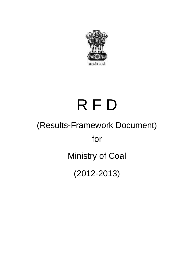

# (Results-Framework Document) for R F D Ministry of Coal (2012-2013)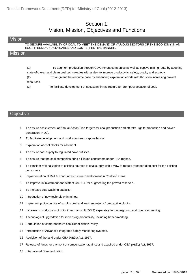#### Section 1: Vision, Mission, Objectives and Functions

#### Vision

TO SECURE AVAILABILITY OF COAL TO MEET THE DEMAND OF VARIOUS SECTORS OF THE ECONOMY IN AN ECO-FRIENDLY, SUSTAINABLE AND COST EFFECTIVE MANNER.

#### **Mission**

| (1)        | To augment production through Government companies as well as captive mining route by adopting                 |
|------------|----------------------------------------------------------------------------------------------------------------|
|            | state-of-the-art and clean coal technologies with a view to improve productivity, safety, quality and ecology. |
| (2)        | To augment the resource base by enhancing exploration efforts with thrust on increasing proved                 |
| resources. |                                                                                                                |
| (3)        | To facilitate development of necessary infrastructure for prompt evacuation of coal.                           |

#### **Objective**

- 1 To ensure achievement of Annual Action Plan targets for coal production and off-take, lignite production and power generation (NLC).
- 2 To facilitate development and production from captive blocks.
- 3 Exploration of coal blocks for allotment.
- 4 To ensure coal supply to regulated power utilities.
- 5 To ensure that the coal companies bring all linked consumers under FSA regime.
- 6 To consider rationalization of existing sources of coal supply with a view to reduce transportation cost for the existing consumers.
- 7 Implementation of Rail & Road Infrastructure Development in Coalfield areas.
- 8 To Improve in investment and staff of CMPDIL for augmenting the proved reserves.
- 9 To increase coal washing capacity.
- 10 Introduction of new technology in mines.
- 11 Implement policy on use of surplus coal and washery rejects from captive blocks.
- 12 Increase in productivity of output per man shift (OMS) separately for underground and open cast mining.
- 13 Technological upgradation for increasing productivity, including bench-marking.
- 14 Formulation of comprehensive coal Beneficiation Policy.
- 15 Introduction of Advanced Integrated safety Monitoring systems.
- 16 Aquisition of the land under CBA (A&D;) Act, 1957.
- 17 Release of funds for payment of compensation against land acquired under CBA (A&D;) Act, 1957.
- 18 International Standardization.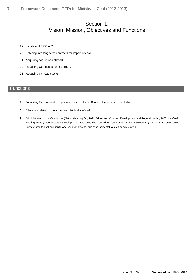Results-Framework Document (RFD) for Ministry of Coal-(2012-2013)

### Section 1: Vision, Mission, Objectives and Functions

- 19 Initiation of ERP in CIL.
- 20 Entering into long term contracts for import of coal.
- 21 Acquiring coal mines abroad.
- 22 Reducing Cumulative over burden.
- 23 Reducing pit head stocks.

#### **Functions**

- 1 Facilitating Exploration, development and exploitation of Coal and Lignite reserves in India.
- 2 All matters relating to production and distribution of coal.
- Administration of the Coal Mines (Nationalisation) Act, 1973, Mines and Minerals (Development and Regulation) Act, 1957, the Coal Bearing Areas (Acquisition and Development) Act, 1957, The Coal Mines (Conservation and Development) Act 1974 and other Union Laws related to coal and lignite and sand for stowing, business incidental to such administration. 3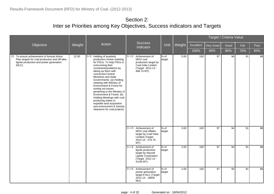Section 2: Inter se Priorities among Key Objectives, Success indicators and Targets

|                                                                                                                                                      |        |                                                                                                                                                                                                                                                                                                                                                                                                                                                                                                                                 |                                                                                                                             |                   |        |           |           | Target / Criteria Value |      |      |
|------------------------------------------------------------------------------------------------------------------------------------------------------|--------|---------------------------------------------------------------------------------------------------------------------------------------------------------------------------------------------------------------------------------------------------------------------------------------------------------------------------------------------------------------------------------------------------------------------------------------------------------------------------------------------------------------------------------|-----------------------------------------------------------------------------------------------------------------------------|-------------------|--------|-----------|-----------|-------------------------|------|------|
| Objective                                                                                                                                            | Weight | Action                                                                                                                                                                                                                                                                                                                                                                                                                                                                                                                          | <b>Success</b><br>Indicator                                                                                                 | Unit              | Weight | Excellent | Very Good | Good                    | Fair | Poor |
|                                                                                                                                                      |        |                                                                                                                                                                                                                                                                                                                                                                                                                                                                                                                                 |                                                                                                                             |                   |        | 100%      | 90%       | 80%                     | 70%  | 60%  |
| [1] To ensure achievement of Annual Action<br>Plan targets for coal production and off-take,<br>lignite production and power generation<br>$(NLC)$ . | 12.00  | [1.1] Holding of quarterly<br>production review meeting<br>for PSUs. To help PSUs in<br>overcoming their<br>constraints/problems by<br>taking up them with<br>concerned Central<br>Ministries and State<br>Governments: (a) Holding<br>meeting with Ministry of<br>Environment & Forest for<br>sorting out issues<br>pertaining to the Ministry of<br>Environment & Forest. (b)<br>Holding Meetings with coal<br>producing states to<br>expedite land acquisition<br>and environment & forestry<br>clearance for coal projects. | [1.1.1] Achievement of<br>MOU coal<br>production target by<br>Coal India Limited<br>(Target 2012-13 -<br>468.74 MT).        | $\%$ of<br>target | 5.00   | 100       | 97        | 94                      | 91   | 88   |
|                                                                                                                                                      |        |                                                                                                                                                                                                                                                                                                                                                                                                                                                                                                                                 | [1.1.2] Achievement of<br>MOU coal offtake<br>target by Coal India<br><b>Limited (Target</b><br>2012-13 - 474.70<br>MT).    | $\%$ of<br>target | 3.00   | 100       | 97        | 94                      | 91   | 88   |
|                                                                                                                                                      |        |                                                                                                                                                                                                                                                                                                                                                                                                                                                                                                                                 | [1.1.3] Achievement of<br>lignite production<br>target by Neyveli<br>Lignite Corporation<br>(Target 2012-13 -<br>24.80 MT). | $%$ of<br>target  | 2.00   | 100       | 97        | 94                      | 91   | 88   |
|                                                                                                                                                      |        |                                                                                                                                                                                                                                                                                                                                                                                                                                                                                                                                 | [1.1.4] Achievement of<br>power generation<br>target b NLC (Target<br>2012-13 - 18600<br>MU).                               | $%$ of<br>target  | 2.00   | 100       | 97        | 94                      | 91   | 88   |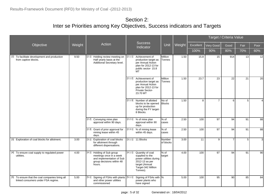|                                                                                       |        |                                                                                                                              |                                                                                                                                             |                           |        |           |                 | Target / Criteria Value |      |          |
|---------------------------------------------------------------------------------------|--------|------------------------------------------------------------------------------------------------------------------------------|---------------------------------------------------------------------------------------------------------------------------------------------|---------------------------|--------|-----------|-----------------|-------------------------|------|----------|
| Objective                                                                             | Weight | Action                                                                                                                       | <b>Success</b><br>Indicator                                                                                                                 | Unit                      | Weight | Excellent | Very Good       | Good                    | Fair | Poor     |
|                                                                                       |        |                                                                                                                              |                                                                                                                                             |                           |        | 100%      | 90%             | 80%                     | 70%  | 60%      |
| [2] To facilitate development and production<br>from captive blocks.                  | 9.50   | $[2.1]$<br>Holding review meeting on<br>Half yearly basis at the<br>Additional Secretary level.                              | [2.1.1] Achievement of<br>production target as<br>per Annual Action<br>plan for 2012-13 for<br>public sector- 15.8<br><b>MT</b>             | Million<br><b>Tonnes</b>  | 1.50   | 15.8      | 15              | 914                     | 13   | 12       |
|                                                                                       |        |                                                                                                                              | [2.1.2] Achievement of<br>production target as<br>per Annual Action<br>plan for 2012-13 for<br>Private Sector-<br>23.70 MT                  | Million<br><b>T</b> onnes | 1.50   | 23.7      | 23              | 22                      | 21   | 20       |
|                                                                                       |        |                                                                                                                              | [2.1.3] Number of allotted<br>blocks to be opened<br>up for production<br>during the FY target-<br>8 Blocks.                                | No of<br>Blocks           | 1.50   | 8         | $\overline{7}$  | 6                       | 5    | $\Delta$ |
|                                                                                       |        | [2.2] Conveying mine plan<br>approval within 90 days.                                                                        | $[2.2.1]$ % of mine plan<br>approval within 90<br>days.                                                                                     | % of<br>Icases            | 2.50   | 100       | 97              | 94                      | 91   | 88       |
|                                                                                       |        | [2.3] Grant of prior approval for<br>mining lease within 45<br>days.                                                         | [2.3.1] % of mining lease<br>within 45 days.                                                                                                | % of<br>cases             | 2.50   | 100       | 97              | 94                      | 91   | 88       |
| [3] Exploration of coal blocks for allotment.                                         | 3.00   | Exploration of coal blocks<br>[3.1]<br>for allotment through<br>different dispensations.                                     | $[3.1.1]$ 11 Blocks                                                                                                                         | Number<br>of blocks       | 3.00   | 11        | 9               | $\overline{7}$          | 5    | 3        |
| [4] To ensure coal supply to regulated power<br>utilities.                            | 4.00   | Holding of Sub group<br>[4.1]<br>meetings once in a week<br>and implementation of Sub<br>group decisions within 48<br>hours. | [4.1.1] Quantity of coal<br>supplied to the<br>power utilities during<br>2012-13 as per<br>target (Annual<br>Target-342 Million<br>Tonnes). | % of<br>target            | 4.00   | 100       | 97              | 94                      | 91   | 90       |
| [5] To ensure that the coal companies bring all<br>linked consumers under FSA regime. | 5.00   | [5.1]<br>Signing of FSAs with plants [5.1.1]<br>and other power utilities<br>commissioned                                    | Signing of FSAs with %<br>power plants who<br>have signed                                                                                   |                           | 5.00   | 100       | $\overline{95}$ | 90                      | 85   | 84       |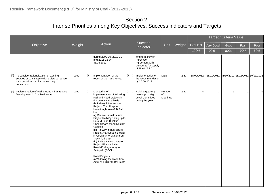|                                                                                                                                                   |        |                                                                                                                                                                                                                                                                                                                                                                                                                                                                                                                                                                                                                                              |                                                                                         |                           |        |                |                                             | Target / Criteria Value |              |          |
|---------------------------------------------------------------------------------------------------------------------------------------------------|--------|----------------------------------------------------------------------------------------------------------------------------------------------------------------------------------------------------------------------------------------------------------------------------------------------------------------------------------------------------------------------------------------------------------------------------------------------------------------------------------------------------------------------------------------------------------------------------------------------------------------------------------------------|-----------------------------------------------------------------------------------------|---------------------------|--------|----------------|---------------------------------------------|-------------------------|--------------|----------|
| Objective                                                                                                                                         | Weight | Action                                                                                                                                                                                                                                                                                                                                                                                                                                                                                                                                                                                                                                       | <b>Success</b><br>Indicator                                                             | Unit                      | Weight | Excellent      | Very Good                                   | Good                    | Fair         | Poor     |
|                                                                                                                                                   |        |                                                                                                                                                                                                                                                                                                                                                                                                                                                                                                                                                                                                                                              |                                                                                         |                           |        | 100%           | 90%                                         | 80%                     | 70%          | 60%      |
|                                                                                                                                                   |        | during 2009-10, 2010-11<br>and 2011-12 by<br>31.03.2012.                                                                                                                                                                                                                                                                                                                                                                                                                                                                                                                                                                                     | long term Power<br>Purchase<br>Agreement with<br>Discounts for supply<br>of 49.6 MT PA. |                           |        |                |                                             |                         |              |          |
| [6] To consider rationalization of existing<br>sources of coal supply with a view to reduce<br>transportation cost for the existing<br>consumers. | 2.50   | Implementation of the<br>[6.1]<br>report of the Task Force.                                                                                                                                                                                                                                                                                                                                                                                                                                                                                                                                                                                  | [6.1.1] Implementation of<br>the recommendation<br>by 30.09.2012                        | Date                      | 2.50   | 30/09/2012     | 15/10/2012 31/10/2012 15/11/2012 30/11/2012 |                         |              |          |
| [7] Implementation of Rail & Road Infrastructure<br>Development in Coalfield areas.                                                               | 2.50   | Monitoring of<br>[7.1]<br>implementation of following<br>Rail and Road projects in<br>the potential coalfields.<br>(i) Railway infrastructure<br>Project- Tori Shivpur-<br>Hazaribagh New G.B Rail<br>line;<br>(ii) Railway infrastructure<br>Project-Railway siding up to<br>Baroud-Bijari Block in<br>Chhattisgarh-Mand Raigarh<br>Coalfield<br>(iii) Railway Infrastructure<br>Project-Jharsuguda-Barpali<br>in Goplapur to Manoharpur<br>Track (Odisha)<br>(iv) Railway infrastructure<br>Project-Bhadrachalam<br>Road (Kothagudem) to<br>Sattupalli (SCCL).<br>Road Projects<br>(i) Widening the Road from<br>Amrapalli OCP to Balumath | [7.1.1] Holding quarterly<br>meetings of High<br>Level Committee<br>during the year.    | Number<br>lof<br>Meetings | 2.50   | $\overline{4}$ | 3                                           | 2 <sup>1</sup>          | $\mathbf{1}$ | $\Omega$ |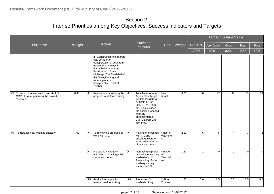|                                                                                            |        |                                                                                                                                                                                                                                                                             |         |                                                                                                                                                                                                                                |                                 |        |              |           | Target / Criteria Value |              |                |
|--------------------------------------------------------------------------------------------|--------|-----------------------------------------------------------------------------------------------------------------------------------------------------------------------------------------------------------------------------------------------------------------------------|---------|--------------------------------------------------------------------------------------------------------------------------------------------------------------------------------------------------------------------------------|---------------------------------|--------|--------------|-----------|-------------------------|--------------|----------------|
| Objective                                                                                  | Weight | Action                                                                                                                                                                                                                                                                      |         | <b>Success</b><br>Indicator                                                                                                                                                                                                    | Unit                            | Weight | Excellent    | Very Good | Good                    | Fair         | Poor           |
|                                                                                            |        |                                                                                                                                                                                                                                                                             |         |                                                                                                                                                                                                                                |                                 |        | 100%         | 90%       | 80%                     | 70%          | 60%            |
|                                                                                            |        | (ii) Construction of separate<br>coal corridor for<br>transportation of coal from<br>Bansundhara Mines in<br>Garjanbahal area from<br>Bankibahal to State<br>Highway-10 at Bhedabahal<br>(iii) Strengthening and<br>widening of coal<br>transportation, road at<br>Talcher. |         |                                                                                                                                                                                                                                |                                 |        |              |           |                         |              |                |
| [8] To Improve in investment and staff of<br>CMPDIL for augmenting the proved<br>reserves. | 6.00   | Review and monitoring the<br>[8.1]<br>progress of detailed drilling.                                                                                                                                                                                                        |         | [8.1.1] To achieve Annual<br>Action Plan Target<br>for detailed drilling<br>by CMPDIL for<br>2012-13 at 6 lakh<br>mtr. This includes<br>the earlier proposed<br>capacity<br>enhancement of<br>CMPDIL from 2 to 4<br>lakh mtrs. | % of<br>target                  | 6.00   | 100          | 97        | 94                      | 91           | 88I            |
| [9] To increase coal washing capacity.                                                     | 7.00   | [9.1] To review the progress of<br>work with CIL.                                                                                                                                                                                                                           |         | [9.1.1] Holding of meetings<br>with CIL and<br>ensuring award of<br>work order for 6 nos.<br>of new washeries.                                                                                                                 | Nuber of<br>washerie<br>ls      | 2.50   | 6            | 5         | $\overline{\mathbf{A}}$ | $\mathbf{3}$ | $\overline{2}$ |
|                                                                                            |        | [9.2] Increasing incapacity<br>utilization of existing public<br>sector washeries                                                                                                                                                                                           | [9.2.1] | Increasing capacity<br>utilisation of existing<br>washeries of CIL -<br>Revamping of one<br>washery namely<br>Kahara in CCL.                                                                                                   | Number<br>lof<br>Washeri<br>les | 1.50   | $\mathbf{1}$ | $\Omega$  | $\Omega$                | $\mathbf 0$  | ΩI             |
|                                                                                            |        | [9.3] Production targets for<br>washed coal for coking                                                                                                                                                                                                                      |         | [9.3.1] Production for<br>washed coking                                                                                                                                                                                        | Million<br><b>Tonnes</b>        | 1.50   | 7.0          | 6.5       | $6.0\,$                 | 5.5          | 5.0            |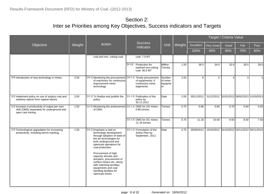|                                                                                                                    |        |                                                                                                                                                                                                                                                                                                                                                                                                |                                                                                   |                                      |        |            |                                             | Target / Criteria Value |      |                |
|--------------------------------------------------------------------------------------------------------------------|--------|------------------------------------------------------------------------------------------------------------------------------------------------------------------------------------------------------------------------------------------------------------------------------------------------------------------------------------------------------------------------------------------------|-----------------------------------------------------------------------------------|--------------------------------------|--------|------------|---------------------------------------------|-------------------------|------|----------------|
| Objective                                                                                                          | Weight | Action                                                                                                                                                                                                                                                                                                                                                                                         | <b>Success</b><br>Indicator                                                       | Unit                                 | Weight | Excellent  | Very Good                                   | Good                    | Fair | Poor           |
|                                                                                                                    |        |                                                                                                                                                                                                                                                                                                                                                                                                |                                                                                   |                                      |        | 100%       | 90%                                         | 80%                     | 70%  | 60%            |
|                                                                                                                    |        | coal and non-coking coal.                                                                                                                                                                                                                                                                                                                                                                      | coal- 7.0 MT                                                                      |                                      |        |            |                                             |                         |      |                |
|                                                                                                                    |        |                                                                                                                                                                                                                                                                                                                                                                                                | [9.3.2] Production for<br>washed non-coking<br>coal- 36.0 MT                      | Million<br>Tonnes                    | 1.50   | 36.0       | 34.0                                        | 32.0                    | 30.0 | 28.0           |
| [10] Introduction of new technology in mines.                                                                      | 2.50   | [10.1] Monitoring the procurement<br>of machinery for continuous<br>improvement miner<br>technology.                                                                                                                                                                                                                                                                                           | [10.1.1] Timely procurement<br>of equipments: 6<br>continuous miner<br>eqipments. | Number<br>of miner<br>equipme<br>Int | 2.50   | 6          | 5                                           | $\boldsymbol{\Lambda}$  | 3    | $\overline{2}$ |
| [11] Implement policy on use of surplus coal and<br>washery rejects from captive blocks.                           | 2.00   | [11.1] To finalise and publish the<br>policy.                                                                                                                                                                                                                                                                                                                                                  | [11.1.1] Publication of the<br>policy by<br>30.11.2012.                           | Date                                 | 2.00   | 30/11/2012 | 31/12/2012 31/01/2013 28/02/2013 31/03/2013 |                         |      |                |
| [12] Increase in productivity of output per man<br>shift (OMS) separately for underground and<br>open cast mining. | 1.50   | [12.1] Monitoring the achievement [12.1.1] OMS for UG mines -<br>of OMS.                                                                                                                                                                                                                                                                                                                       | 0.86 tonnes                                                                       | Tonnes                               | 0.75   | 0.86       | 0.80                                        | 0.70                    | 0.60 | 0.50           |
|                                                                                                                    |        |                                                                                                                                                                                                                                                                                                                                                                                                | [12.1.2] OMS for OC mines -<br>11.16 tonnes                                       | Tonnes                               | 0.75   | 11.16      | 10.50                                       | 9.50                    | 8.50 | 7.50           |
| [13] Technological upgradation for increasing<br>productivity, including bench-marking.                            | 1.50   | [13.1] Emphasis is laid on<br>technology development<br>through adoption of state of<br>the art technologies for<br>both underground and<br>opencast operations for<br>coal production.<br>Procurement of high<br>capacity shovels and<br>dumpers, procurement of<br>surface miners etc. along<br>with matching ancillary<br>equipments and coal<br>handling facilities for<br>opencast mines. | [13.1.1] Formulation of the<br>Action Plan by<br>September, 2012.                 | Date                                 | 0.75   | 30/09/2012 | 15/10/2012 31/10/2012 15/11/2012 30/11/2012 |                         |      |                |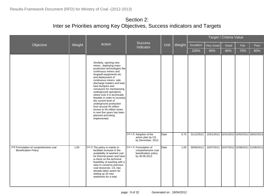|                                                                 |        |                                                                                                                                                                                                                                                                                                                                                                                                                                                                                                                                              |                                                                                         |      |        |            |                                             | Target / Criteria Value |      |      |
|-----------------------------------------------------------------|--------|----------------------------------------------------------------------------------------------------------------------------------------------------------------------------------------------------------------------------------------------------------------------------------------------------------------------------------------------------------------------------------------------------------------------------------------------------------------------------------------------------------------------------------------------|-----------------------------------------------------------------------------------------|------|--------|------------|---------------------------------------------|-------------------------|------|------|
| Objective                                                       | Weight | Action                                                                                                                                                                                                                                                                                                                                                                                                                                                                                                                                       | <b>Success</b><br>Indicator                                                             | Unit | Weight | Excellent  | Very Good                                   | Good                    | Fair | Poor |
|                                                                 |        |                                                                                                                                                                                                                                                                                                                                                                                                                                                                                                                                              |                                                                                         |      |        | 100%       | 90%                                         | 80%                     | 70%  | 60%  |
|                                                                 |        | Similarly, opening new<br>mines, deploying mass<br>production technologies like<br>continuous miners and<br>longwall equipments etc.<br>and deployment of<br>continuous miners, side<br>discharge loaders and load<br>haul dumpers and<br>conveyors for mechanizing<br>underground operations<br>where ever it is technically<br>feasible in order to increase<br>the current level of<br>underground production<br>from around 44 million<br>tonnes to 65 million tones<br>in next five years has been<br>planned and being<br>implemented. |                                                                                         |      |        |            |                                             |                         |      |      |
|                                                                 |        |                                                                                                                                                                                                                                                                                                                                                                                                                                                                                                                                              | [13.1.2] Adoption of the<br>action plan by CIL<br>by December, 2012.                    | Date | 0.75   | 31/12/2012 | 15/01/2013 31/01/2013 15/02/2013 28/02/2013 |                         |      |      |
| [14] Formulation of comprehensive coal<br>Beneficiation Policy. | 1.00   | [14.1] The policy is mainly to<br>facilitate increase in the<br>availability of washed coal<br>for thermal power and have<br>a check on the technical<br>feasibility of washing with a<br>view to conserve precious<br>coal resources. CIL has<br>already taken action for<br>setting up 20 new<br>washeries for a total                                                                                                                                                                                                                     | [14.1.1] Formulation of<br>comprehensive coal<br>beneficiation policy<br>by 30.06.2012. | Date | 1.00   | 30/06/2012 | 15/07/2012 31/07/2012 15/08/2012 31/08/2012 |                         |      |      |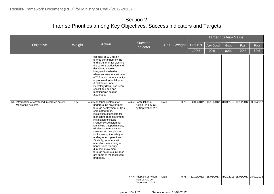|                                                                        |        |                                                                                                                                                                                                                                                                                                                                                                                                                                                                                                                                                       |                                                                                                    |      |        |            |                                             | Target / Criteria Value |      |      |
|------------------------------------------------------------------------|--------|-------------------------------------------------------------------------------------------------------------------------------------------------------------------------------------------------------------------------------------------------------------------------------------------------------------------------------------------------------------------------------------------------------------------------------------------------------------------------------------------------------------------------------------------------------|----------------------------------------------------------------------------------------------------|------|--------|------------|---------------------------------------------|-------------------------|------|------|
| Objective                                                              | Weight | Action                                                                                                                                                                                                                                                                                                                                                                                                                                                                                                                                                |                                                                                                    | Unit | Weight | Excellent  | Very Good                                   | Good                    | Fair | Poor |
|                                                                        |        |                                                                                                                                                                                                                                                                                                                                                                                                                                                                                                                                                       | <b>Success</b><br>Indicator<br>[15.1.1] Formulation of<br>Action Plan by CIL<br>by September, 2012 |      |        | 100%       | 90%                                         | 80%                     | 70%  | 60%  |
|                                                                        |        | capacity of 111 million<br>tonnes per annum by the<br>end of XII Plan for washing<br>the current production and<br>decided to develop<br>integrated washeries<br>wherever an opencast mine<br>of 2.5 mty or more capacity<br>is proposed to be taken up.<br>A task force under<br>Secretary (Coal) has been<br>constituted and one<br>meeting was held on<br>28/02/2012                                                                                                                                                                               |                                                                                                    |      |        |            |                                             |                         |      |      |
| [15] Introduction of Advanced Integrated safety<br>Monitoring systems. | 1.50   | [15.1] Monitoring systems for<br>underground environment<br>through deployment of Gas<br>chromatographs,<br>installation of sensors for<br>monitoring roof movement,<br>installation of Radio<br>Frequency Detectors for<br>identifying trapped miners,<br>wireless communication<br>systems etc. are planned<br>for improving the safety of<br>underground operations.<br>Similarly, for opencast<br>operations monitoring of<br>bench slope stability,<br>dumpers movement<br>through satellite survilance<br>are some of the measures<br>proposed. |                                                                                                    | Date | 0.75   | 30/09/2012 | 15/10/2012 31/10/2012 15/11/2012 30/11/2012 |                         |      |      |
|                                                                        |        |                                                                                                                                                                                                                                                                                                                                                                                                                                                                                                                                                       | [15.1.2] Adoption of Action<br>Plan by CIL by<br>December, 2012.                                   | Date | 0.75   | 31/12/2012 | 15/01/2013 31/01/2013 15/02/2013 28/02/2013 |                         |      |      |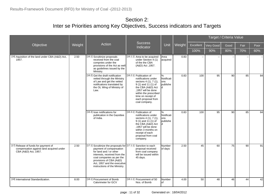|                                                                                                          |        |                                                                                                                                                                                                                                                                              |                                                                                                                                                                                                                                 |                                           |        |           |              | Target / Criteria Value |      |      |
|----------------------------------------------------------------------------------------------------------|--------|------------------------------------------------------------------------------------------------------------------------------------------------------------------------------------------------------------------------------------------------------------------------------|---------------------------------------------------------------------------------------------------------------------------------------------------------------------------------------------------------------------------------|-------------------------------------------|--------|-----------|--------------|-------------------------|------|------|
| Objective                                                                                                | Weight | Action                                                                                                                                                                                                                                                                       | <b>Success</b><br>Indicator                                                                                                                                                                                                     | Unit                                      | Weight | Excellent | Very Good    | Good                    | Fair | Poor |
|                                                                                                          |        |                                                                                                                                                                                                                                                                              |                                                                                                                                                                                                                                 |                                           |        | 100%      | 90%          | 80%                     | 70%  | 60%  |
| [16] Aquisition of the land under CBA (A&D) Act,<br>1957.                                                | 2.50   | [16.1] Scruitinize proposals<br>received from the coal<br>compnies under the<br>provisions of the Act as well<br>as guidelines issued by the<br>Ministry.                                                                                                                    | [16.1.1] Area to be acquired<br>under Section 4 (1)<br>of the the CBA<br>(A&D) Act, 1957.                                                                                                                                       | Area<br>acquired                          | 0.83   |           | $\mathbf{u}$ |                         |      |      |
|                                                                                                          |        | [16.2] Get the draft notification<br>vetted through the Ministry<br>of Law and get the vetted<br>notifications translated by<br>the OL Wing of Ministry of<br>Law.                                                                                                           | [16.2.1] Publication of<br>notifications under<br>sectons 4 (1), 7 (1),<br>9 (1) and 11 (1) of<br>the CBA (A&D) Act<br>,1957 will be done<br>within the prescribed<br>time on receipt of<br>each proposal from<br>coal company. | %<br>Notificati<br>ons<br>publishe<br>ld. | 0.83   | 100       | 95           | 90                      | 85   | 84   |
|                                                                                                          |        | [16.3] Isse notifications for<br>publication in the Gazettee<br>of India.                                                                                                                                                                                                    | [16.3.1] Publication of<br>notifications under<br>sectons 4 (1), 7 (1),<br>9 (1) and 11 (1) of<br>the CBA (A&D) Act<br>.1957 will be done<br>within 3 months on<br>receipt of each<br>proposal from coal<br>company.            | %<br>Notificati<br>ons<br>publishe<br>ld. | 0.83   | 100       | 95           | 90                      | 85   | 84   |
| [17] Release of funds for payment of<br>compensation against land acquired under<br>CBA (A&D) Act, 1957. | 2.50   | [17.1] Scruitinize the proposals for [17.1.1] Sanction to each<br>payment of compansation<br>for land and / or other<br>interests, received from the<br>coal companies as per the<br>provisions of CBA (A&D)<br>Act, 1957 and the executive<br>instructions of the Ministry. | proposal received<br>from coal company<br>will be issued within<br>45 days.                                                                                                                                                     | Number<br>of days                         | 2.50   | 45        | 60           | 75                      | 90   | 91   |
| [18] International Standardization.                                                                      | 8.00   | [18.1] Procurement of Bomb<br>Calorimeter for GCV                                                                                                                                                                                                                            | [18.1.1] Procurement of 50<br>Nos. of Bomb                                                                                                                                                                                      | Number<br>lof                             | 4.00   | 50        | 48           | 46                      | 44   | 42   |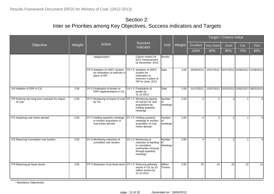|                                                               |        |                                                                                      |                                                                                                                         |                          |        |                |                                             | Target / Criteria Value |                |                |
|---------------------------------------------------------------|--------|--------------------------------------------------------------------------------------|-------------------------------------------------------------------------------------------------------------------------|--------------------------|--------|----------------|---------------------------------------------|-------------------------|----------------|----------------|
| Objective                                                     | Weight | Action                                                                               | Success<br>Indicator                                                                                                    | Unit                     | Weight | Excellent      | Very Good                                   | Good                    | Fair           | Poor           |
|                                                               |        |                                                                                      |                                                                                                                         |                          |        | 100%           | 90%                                         | 80%                     | 70%            | 60%            |
|                                                               |        | catagorisation                                                                       | Calorie meters for<br>GCV measurement<br>by December, 2012                                                              | <b>Bombs</b>             |        |                |                                             |                         |                |                |
|                                                               |        | [18.2] Adoption of UNFC System<br>for estimation of reserves in<br>place of ISP.     | [18.2.1] Adoption of UNFC<br>System for<br>estimation of<br>reserves in place of<br>ISP by June, 2012                   | Date                     | 4.00   | 30/06/2012     | 15/07/2012 31/07/2012 15/08/2012 31/08/2012 |                         |                |                |
| [19] Initiation of ERP in CIL.                                | 2.00   | [19.1] Finalisation of tender or<br>ERP implementation in CIL.                       | [19.1.1] Finalisation of<br>tender by<br>31.12.2012.                                                                    | Date                     | 2.00   | 31/12/2012     | 15/01/2013 31/01/2013 15/02/2013 28/02/2013 |                         |                |                |
| [20] Entering into long term contracts for import<br>of coal. | 2.00   | [20.1] Monitoring of import of coal [[20.1.1] Monitoring imports<br>by CIL.          | of coal by CIL and<br>acquisitions by<br>holding quarterly<br>meetings                                                  | Number<br>of<br>meetings | 2.00   | $\overline{4}$ | 3                                           | $\overline{2}$          | $\overline{1}$ | $\Omega$       |
| [21] Acquiring coal mines abroad.                             | 2.00   | [21.1] Holding quarterly meetings<br>to monitor acquisition of<br>coal mines abroad. | [21.1.1] Holding quarterly<br>meetings to monitor<br>acquisition of coal<br>mines abroad                                | Number<br>of<br>meetings | 2.00   | $\overline{4}$ | 3                                           | $\overline{2}$          | $\overline{1}$ | $\Omega$       |
| [22] Reducing Cumulative over burden.                         | 2.00   | [22.1] Monitoring reduction of<br>cumulitive over burdon.                            | [22.1.1] Monitoring of<br>reduction of backlog<br>in cumulative<br>overburden removal<br>through quarterly<br>meetings. | Number<br>of<br>Meetings | 2.00   | $\overline{4}$ | 3                                           | 2 <sup>1</sup>          | $\mathbf{1}$   | $\overline{0}$ |
| [23] Reducing pit head stocks.                                | 2.50   | [23.1] Reduction of pit head stock. [23.1.1] Reducing pitheads                       | stocks in CIL by 25<br>million tonnes by<br>31.12.2012.                                                                 | Million<br>Tonnes        | 2.50   | 25             | 24                                          | 23                      | 22             | 21             |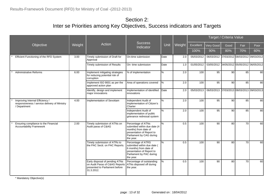|                                                                                                  |        |                                                                                                                  |                                                                                                                                                   |      |        |            |                                             | Target / Criteria Value |      |      |
|--------------------------------------------------------------------------------------------------|--------|------------------------------------------------------------------------------------------------------------------|---------------------------------------------------------------------------------------------------------------------------------------------------|------|--------|------------|---------------------------------------------|-------------------------|------|------|
| Objective                                                                                        | Weight | Action                                                                                                           | <b>Success</b><br>Indicator                                                                                                                       | Unit | Weight | Excellent  | Very Good                                   | Good                    | Fair | Poor |
|                                                                                                  |        |                                                                                                                  |                                                                                                                                                   |      |        | 100%       | 90%                                         | 80%                     | 70%  | 60%  |
| Efficient Functioning of the RFD System                                                          | 3.00   | Timely submission of Draft for<br>Approval                                                                       | On-time submission                                                                                                                                | Date | 2.0    | 05/03/2012 | 06/03/2012 07/03/2012 08/03/2012 09/03/2012 |                         |      |      |
|                                                                                                  |        | Timely submission of Results                                                                                     | On- time submission                                                                                                                               | Date | 1.0    | 01/05/2012 | 03/05/2012 04/05/2012 05/05/2012 06/05/2012 |                         |      |      |
| <b>Administrative Reforms</b>                                                                    | 6.00   | Implement mitigating strategies<br>for reducing potential risk of<br>corruption                                  | % of implementation                                                                                                                               | ℅    | 2.0    | 100        | 95                                          | 90                      | 85   | 80   |
|                                                                                                  |        | Implement ISO 9001 as per the<br>approved action plan                                                            | Area of operations covered                                                                                                                        | $\%$ | 2.0    | 100        | 95                                          | 90                      | 85   | 80I  |
|                                                                                                  |        | Identify, design and implement<br>major innovations                                                              | Implementation of identified<br>innovations                                                                                                       | Date | 2.0    | 05/03/2013 | 06/03/2013 07/03/2013 08/03/2013 09/03/2013 |                         |      |      |
| Improving Internal Efficiency /<br>responsiveness / service delivery of Ministry<br>/ Department | 4.00   | Implementation of Sevottam                                                                                       | Independent Audit of<br>Implementation of Citizen's<br>Charter                                                                                    | ℅    | 2.0    | 100        | 95                                          | 90                      | 85   | 80I  |
|                                                                                                  |        |                                                                                                                  | Independent Audit of<br>implementation of public<br>grievance redressal system                                                                    | $\%$ | 2.0    | 100        | 95                                          | 90                      | 85   | 80I  |
| Ensuring compliance to the Financial<br>Accountability Framework                                 | 2.00   | Timely submission of ATNs on<br>Audit paras of C&AG                                                              | Percentage of ATNs<br>submitted within due date (4<br>months) from date of<br>presentation of Report to<br>Parliament by CAG during<br>the year.  | %    | 0.5    | 100        | 90                                          | 80                      | 70   | 60   |
|                                                                                                  |        | Timely submission of ATRs to<br>the PAC Sectt. on PAC Reports.                                                   | Percentage of ATRS<br>submitted within due date (<br>6 months) from date of<br>presentation of Report to<br>Parliament by PAC during<br>the year. | ℅    | 0.5    | 100        | 90                                          | 80                      | 70   | 60   |
|                                                                                                  |        | Early disposal of pending ATNs<br>on Audit Paras of C&AG Reports<br>presented to Parliament before<br>31.3.2012. | Percentage of outstanding<br>ATNs disposed off during<br>the year.                                                                                | %    | 0.5    | 100        | 90                                          | 80                      | 70   | 60   |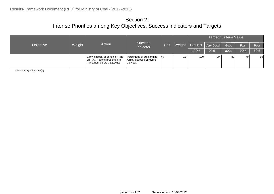|           |        |                                                                                                     |                                                                    |                |        | Target / Criteria Value |     |      |      |      |  |  |
|-----------|--------|-----------------------------------------------------------------------------------------------------|--------------------------------------------------------------------|----------------|--------|-------------------------|-----|------|------|------|--|--|
| Objective | Weight | Action                                                                                              | <b>Success</b><br>Indicator                                        | Unit           | Weight | Excellent   Very Good   |     | Good | Fair | Poor |  |  |
|           |        |                                                                                                     |                                                                    |                |        | 100%                    | 90% | 80%  | 70%  | 60%  |  |  |
|           |        | <b>Early disposal of pending ATRs</b><br>on PAC Reports presented to<br>Parliament before 31.3.2012 | Percentage of outstanding<br>ATRS disposed off during<br>the year. | $\frac{10}{6}$ | 0.5    | 100                     | 90  | 80   | 70 I | 60I  |  |  |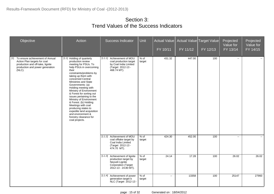| Objective                                                                                                                                                    | Action                                                                                                                                                                                                                                                                                                                                                                                                                                                                                                                                   | <b>Success Indicator</b>                                                                                                 | Unit             | <b>Actual Value</b><br>FY 10/11 | FY 11/12 | Actual Value Target Value<br>FY 12/13 | Projected<br>Value for<br>FY 13/14 | Projected<br>Value for<br>FY 14/15 |
|--------------------------------------------------------------------------------------------------------------------------------------------------------------|------------------------------------------------------------------------------------------------------------------------------------------------------------------------------------------------------------------------------------------------------------------------------------------------------------------------------------------------------------------------------------------------------------------------------------------------------------------------------------------------------------------------------------------|--------------------------------------------------------------------------------------------------------------------------|------------------|---------------------------------|----------|---------------------------------------|------------------------------------|------------------------------------|
| To ensure achievement of Annual<br>$[1]$<br>Action Plan targets for coal<br>production and off-take, lignite<br>production and power generation<br>$(NLC)$ . | [1.1] Holding of quarterly<br>production review<br>meeting for PSUs. To<br>help PSUs in overcoming<br>their<br>constraints/problems by<br>taking up them with<br>concerned Central<br>Ministries and State<br>Governments: (a)<br>Holding meeting with<br>Ministry of Environment<br>& Forest for sorting out<br>issues pertaining to the<br>Ministry of Environment<br>& Forest. (b) Holding<br>Meetings with coal<br>producing states to<br>expedite land acquisition<br>and environment &<br>forestry clearance for<br>coal projects. | [1.1.1] Achievement of MOU<br>coal production target<br>by Coal India Limited<br>(Target 2012-13 -<br>468.74 MT).        | $%$ of<br>target | 431.32                          | 447.00   | 100                                   | н.                                 |                                    |
|                                                                                                                                                              |                                                                                                                                                                                                                                                                                                                                                                                                                                                                                                                                          | [1.1.2] Achievement of MOU<br>coal offtake target by<br>Coal India Limited<br>(Target 2012-13 -<br>474.70 MT).           | % of<br>target   | 424.30                          | 452.00   | 100                                   | $\overline{\phantom{a}}$           | $\sim$                             |
|                                                                                                                                                              |                                                                                                                                                                                                                                                                                                                                                                                                                                                                                                                                          | [1.1.3] Achievement of lignite<br>production target by<br>Neyveli Lignite<br>Corporation (Target<br>2012-13 - 24.80 MT). | $%$ of<br>target | 24.14                           | 17.28    | 100                                   | 26.02                              | 26.02                              |
|                                                                                                                                                              |                                                                                                                                                                                                                                                                                                                                                                                                                                                                                                                                          | [1.1.4] Achievement of power<br>generation target b<br>NLC (Target 2012-13 -                                             | $%$ of<br>target | $\sim$                          | 13358    | 100                                   | 25147                              | 27993                              |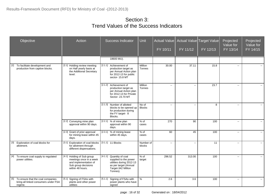| Objective                                                                                | Action                                                                                                                    | <b>Success Indicator</b>                                                                                                                    | Unit                   | $FY$ 10/11                  | Actual Value   Actual Value   Target Value  <br>FY 11/12 | FY 12/13 | Projected<br>Value for<br>FY 13/14 | Projected<br>Value for<br>FY 14/15 |
|------------------------------------------------------------------------------------------|---------------------------------------------------------------------------------------------------------------------------|---------------------------------------------------------------------------------------------------------------------------------------------|------------------------|-----------------------------|----------------------------------------------------------|----------|------------------------------------|------------------------------------|
|                                                                                          |                                                                                                                           | 18600 MU).                                                                                                                                  |                        |                             |                                                          |          |                                    |                                    |
| To facilitate development and<br>[2]<br>production from captive blocks.                  | [2.1] Holding review meeting<br>on Half yearly basis at<br>the Additional Secretary<br>level.                             | [2.1.1] Achievement of<br>production target as<br>per Annual Action plan<br>for 2012-13 for public<br>sector-15.8 MT                        | Million<br>Tonnes      | 30.00                       | 37.11                                                    | 15.8     | $\overline{\phantom{a}}$           |                                    |
|                                                                                          |                                                                                                                           | [2.1.2] Achievement of<br>production target as<br>per Annual Action plan<br>for 2012-13 for Private<br>Sector-23.70 MT                      | Million<br>Tonnes      | $\mathcal{L}_{\mathcal{F}}$ | $\mathcal{L}_{\mathcal{F}}$                              | 23.7     | $\sim$                             | $\sim$                             |
|                                                                                          |                                                                                                                           | [2.1.3] Number of allotted<br>blocks to be opened up<br>for production during<br>the FY target-8<br>Blocks.                                 | No of<br><b>Blocks</b> | $\sim$ $\sim$               | $\sim$                                                   | 8        | $\mathbf{u}$                       | $\sim$                             |
|                                                                                          | [2.2] Conveying mine plan<br>approval within 90 days.                                                                     | $[2.2.1]$ % of mine plan<br>approval within 90<br>days.                                                                                     | % of<br>cases          | 270                         | 90                                                       | 100      | $\sim$                             | $\sim$                             |
|                                                                                          | [2.3] Grant of prior approval<br>for mining lease within 45<br>days.                                                      | [2.3.1] % of mining lease<br>within 45 days.                                                                                                | % of<br>cases          | 60                          | $\overline{45}$                                          | 100      | $\sim$                             | $\sim$                             |
| Exploration of coal blocks for<br>$[3]$<br>allotment.                                    | [3.1] Exploration of coal blocks<br>for allotment through<br>different dispensations.                                     | [3.1.1] 11 Blocks                                                                                                                           | Number of<br>blocks    | $\overline{\phantom{a}}$    | $\mathbf{L}$                                             | 11       | $\mathbf{u}$                       | $\sim$                             |
| $[4]$<br>To ensure coal supply to regulated<br>power utilities.                          | [4.1] Holding of Sub group<br>meetings once in a week<br>and implementation of<br>Sub group decisions<br>within 48 hours. | Quantity of coal<br>[4.1.1]<br>supplied to the power<br>utilities during 2012-13<br>as per target (Annual<br>Target-342 Million<br>Tonnes). | $%$ of<br>target       | 296.52                      | 313.00                                                   | 100      | $\sim$                             | $\sim$                             |
| [5] To ensure that the coal companies<br>bring all linked consumers under FSA<br>regime. | [5.1] Signing of FSAs with<br>plants and other power<br>utilities                                                         | Signing of FSAs with<br>[5.1.1]<br>power plants who have<br>signed                                                                          | %                      | 2.6                         | 3.6                                                      | 100      | $\sim$                             | $\sim$                             |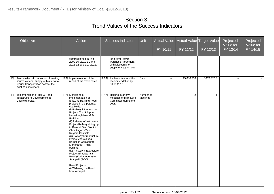| Objective                                                                                                                                            | Action                                                                                                                                                                                                                                                                                                                                                                                                                                                                                                                                                                                                                           | Success Indicator                                                                    | <b>Unit</b>           | <b>Actual Value</b><br>FY 10/11 | FY 11/12   | Actual Value Target Value<br>FY 12/13 | Projected<br>Value for<br>FY 13/14 | Projected<br>Value for<br>FY 14/15 |
|------------------------------------------------------------------------------------------------------------------------------------------------------|----------------------------------------------------------------------------------------------------------------------------------------------------------------------------------------------------------------------------------------------------------------------------------------------------------------------------------------------------------------------------------------------------------------------------------------------------------------------------------------------------------------------------------------------------------------------------------------------------------------------------------|--------------------------------------------------------------------------------------|-----------------------|---------------------------------|------------|---------------------------------------|------------------------------------|------------------------------------|
|                                                                                                                                                      | commissioned during<br>2009-10, 2010-11 and<br>2011-12 by 31.03.2012.                                                                                                                                                                                                                                                                                                                                                                                                                                                                                                                                                            | long term Power<br>Purchase Agreement<br>with Discounts for<br>supply of 49.6 MT PA. |                       |                                 |            |                                       |                                    |                                    |
| To consider rationalization of existing<br>[6]<br>sources of coal supply with a view to<br>reduce transportation cost for the<br>existing consumers. | [6.1] Implementation of the<br>report of the Task Force.                                                                                                                                                                                                                                                                                                                                                                                                                                                                                                                                                                         | [6.1.1] Implementation of the<br>recommendation by<br>30.09.2012                     | Date                  | $\mathbf{u}$                    | 15/03/2010 | 30/09/2012                            | $\sim$                             | $\sim$                             |
| $[7]$<br>Implementation of Rail & Road<br>Infrastructure Development in<br>Coalfield areas.                                                          | [7.1] Monitoring of<br>implementation of<br>following Rail and Road<br>projects in the potential<br>coalfields.<br>(i) Railway infrastructure<br>Project- Tori Shivpur-<br>Hazaribagh New G.B<br>Rail line;<br>(ii) Railway infrastructure<br>Project-Railway siding up<br>to Baroud-Bijari Block in<br>Chhattisgarh-Mand<br>Raigarh Coalfield<br>(iii) Railway Infrastructure<br>Project-Jharsuguda-<br>Barpali in Goplapur to<br>Manoharpur Track<br>(Odisha)<br>(iv) Railway infrastructure<br>Project-Bhadrachalam<br>Road (Kothagudem) to<br>Sattupalli (SCCL).<br>Road Projects<br>(i) Widening the Road<br>from Amrapalli | [7.1.1] Holding quarterly<br>meetings of High Level<br>Committee during the<br>year. | Number of<br>Meetings | $\sim$                          | 2          | $\overline{4}$                        | $\sim$                             | $\sim$                             |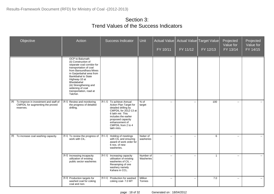| Objective                                                                                     | Action                                                                                                                                                                                                                                                                                            | Success Indicator                                                                                                                                                                                                           | <b>Unit</b>            | FY 10/11     | Actual Value   Actual Value   Target Value  <br>FY 11/12 | FY 12/13       | Projected<br>Value for<br>FY 13/14 | Projected<br>Value for<br>FY 14/15 |
|-----------------------------------------------------------------------------------------------|---------------------------------------------------------------------------------------------------------------------------------------------------------------------------------------------------------------------------------------------------------------------------------------------------|-----------------------------------------------------------------------------------------------------------------------------------------------------------------------------------------------------------------------------|------------------------|--------------|----------------------------------------------------------|----------------|------------------------------------|------------------------------------|
|                                                                                               | OCP to Balumath<br>(ii) Construction of<br>separate coal corridor for<br>transportation of coal<br>from Bansundhara Mines<br>in Garjanbahal area from<br>Bankibahal to State<br>Highway-10 at<br>Bhedabahal<br>(iii) Strengthening and<br>widening of coal<br>transportation, road at<br>Talcher. |                                                                                                                                                                                                                             |                        |              |                                                          |                |                                    |                                    |
| To Improve in investment and staff of<br>[8]<br>CMPDIL for augmenting the proved<br>reserves. | [8.1] Review and monitoring<br>the progress of detailed<br>drilling.                                                                                                                                                                                                                              | [8.1.1] To achieve Annual<br>Action Plan Target for<br>detailed drilling by<br>CMPDIL for 2012-13 at<br>6 lakh mtr. This<br>includes the earlier<br>proposed capacity<br>enhancement of<br>CMPDIL from 2 to 4<br>lakh mtrs. | % of<br>target         | $\Box$       | $\sim$                                                   | 100            | $\mathbf{u}$                       | $\sim$                             |
| [9] To increase coal washing capacity.                                                        | [9.1] To review the progress of<br>work with CIL.                                                                                                                                                                                                                                                 | Holding of meetings<br>[9.1.1]<br>with CIL and ensuring<br>award of work order for<br>6 nos. of new<br>washeries.                                                                                                           | Nuber of<br>washeries  | $\mathbf{u}$ | $\sim$                                                   | 6              | $\sim$                             | $\sim$                             |
|                                                                                               | [9.2] Increasing incapacity<br>utilization of existing<br>public sector washeries                                                                                                                                                                                                                 | [9.2.1] Increasing capacity<br>utilisation of existing<br>washeries of CIL -<br>Revamping of one<br>washery namely<br>Kahara in CCL.                                                                                        | Number of<br>Washeries | $\mathbf{H}$ | $\mathbf{H}$                                             | $\overline{1}$ | $\sim$                             | $\sim$                             |
|                                                                                               | [9.3] Production targets for<br>washed coal for coking<br>coal and non-                                                                                                                                                                                                                           | [9.3.1] Production for washed<br>coking coal- 7.0 MT                                                                                                                                                                        | Million<br>Tonnes      | $\mathbf{u}$ | $\sim$                                                   | 7.0            | $\mathbf{u}$                       | $\overline{a}$                     |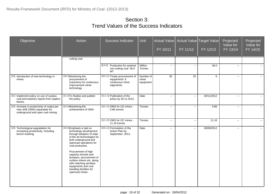| Objective                                                                                                          | Action                                                                                                                                                                                                                                                                                                                                                                                         | <b>Success Indicator</b>                                                          | <b>Unit</b>                     | Actual Value<br>FY 10/11 | FY 11/12                                      | Actual Value Target Value<br>FY 12/13 | Projected<br>Value for<br>FY 13/14 | Projected<br>Value for<br>FY 14/15 |
|--------------------------------------------------------------------------------------------------------------------|------------------------------------------------------------------------------------------------------------------------------------------------------------------------------------------------------------------------------------------------------------------------------------------------------------------------------------------------------------------------------------------------|-----------------------------------------------------------------------------------|---------------------------------|--------------------------|-----------------------------------------------|---------------------------------------|------------------------------------|------------------------------------|
|                                                                                                                    | coking coal.                                                                                                                                                                                                                                                                                                                                                                                   |                                                                                   |                                 |                          |                                               |                                       |                                    |                                    |
|                                                                                                                    |                                                                                                                                                                                                                                                                                                                                                                                                | [9.3.2] Production for washed<br>non-coking coal-36.0<br>MT                       | Million<br>Tonnes               | $\overline{\phantom{a}}$ | $\mathbb{L}^{\mathbb{L}}$                     | 36.0                                  | $\overline{\phantom{a}}$           | $\mathbf{u}$                       |
| [10] Introduction of new technology in<br>mines.                                                                   | [10.1] Monitoring the<br>procurement of<br>machinery for continuous<br>improvement miner<br>technology.                                                                                                                                                                                                                                                                                        | [10.1.1] Timely procurement of<br>equipments: 6<br>continuous miner<br>eqipments. | Number of<br>miner<br>equipment | 30                       | 25                                            | 6                                     | $\overline{\phantom{a}}$           | $\sim$                             |
| [11] Implement policy on use of surplus<br>coal and washery rejects from captive<br>blocks.                        | [11.1] To finalise and publish<br>the policy.                                                                                                                                                                                                                                                                                                                                                  | [11.1.1] Publication of the<br>policy by 30.11.2012.                              | Date                            | $\overline{\phantom{a}}$ | $\mathbb{L}^2$                                | 30/11/2012                            | $\mathbb{L}^2$                     | $\mathbb{L}^2$                     |
| [12] Increase in productivity of output per<br>man shift (OMS) separately for<br>underground and open cast mining. | [12.1] Monitoring the<br>achievement of OMS.                                                                                                                                                                                                                                                                                                                                                   | [12.1.1] OMS for UG mines -<br>0.86 tonnes                                        | <b>Tonnes</b>                   | $\sim$                   | $\overline{\phantom{a}}$                      | 0.86                                  | $\sim$                             | $\mathcal{L}(\mathcal{L})$         |
|                                                                                                                    |                                                                                                                                                                                                                                                                                                                                                                                                | [12.1.2] OMS for OC mines -<br>11.16 tonnes                                       | <b>Tonnes</b>                   | $\overline{\phantom{a}}$ | Ξ.                                            | 11.16                                 | $\mathbf{u}$                       | н.                                 |
| [13] Technological upgradation for<br>increasing productivity, including<br>bench-marking.                         | [13.1] Emphasis is laid on<br>technology development<br>through adoption of state<br>of the art technologies for<br>both underground and<br>opencast operations for<br>coal production.<br>Procurement of high<br>capacity shovels and<br>dumpers, procurement of<br>surface miners etc. along<br>with matching ancillary<br>equipments and coal<br>handling facilities for<br>opencast mines. | [13.1.1] Formulation of the<br>Action Plan by<br>September, 2012.                 | Date                            | $\mathbf{u}$             | $\mathord{\hspace{1pt}\text{--}\hspace{1pt}}$ | 30/09/2012                            | $\overline{\phantom{a}}$           | $\mathcal{L}(\mathcal{L})$         |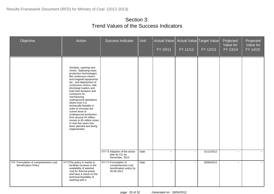| Objective                                                       | Action                                                                                                                                                                                                                                                                                                                                                                                                                                                                                                                                             | Success Indicator                                                                       | <b>Unit</b> | Actual Value<br>FY 10/11 | FY 11/12       | Actual Value Target Value<br>FY 12/13 | Projected<br>Value for<br>FY 13/14 | Projected<br>Value for<br>FY 14/15 |
|-----------------------------------------------------------------|----------------------------------------------------------------------------------------------------------------------------------------------------------------------------------------------------------------------------------------------------------------------------------------------------------------------------------------------------------------------------------------------------------------------------------------------------------------------------------------------------------------------------------------------------|-----------------------------------------------------------------------------------------|-------------|--------------------------|----------------|---------------------------------------|------------------------------------|------------------------------------|
|                                                                 | Similarly, opening new<br>mines, deploying mass<br>production technologies<br>like continuous miners<br>and longwall equipments<br>etc. and deployment of<br>continuous miners, side<br>discharge loaders and<br>load haul dumpers and<br>conveyors for<br>mechanizing<br>underground operations<br>where ever it is<br>technically feasible in<br>order to increase the<br>current level of<br>underground production<br>from around 44 million<br>tonnes to 65 million tones<br>in next five years has<br>been planned and being<br>implemented. | [13.1.2] Adoption of the action                                                         | Date        | $\overline{\phantom{a}}$ | $\mathbb{L}^2$ | 31/12/2012                            | $\sim$                             | $\sim$                             |
|                                                                 |                                                                                                                                                                                                                                                                                                                                                                                                                                                                                                                                                    | plan by CIL by<br>December, 2012.                                                       |             |                          |                |                                       |                                    |                                    |
| [14] Formulation of comprehensive coal<br>Beneficiation Policy. | [14.1] The policy is mainly to<br>facilitate increase in the<br>availability of washed<br>coal for thermal power<br>and have a check on the<br>technical feasibility of<br>washing with a                                                                                                                                                                                                                                                                                                                                                          | [14.1.1] Formulation of<br>comprehensive coal<br>beneficiation policy by<br>30.06.2012. | Date        | $\sim$                   | $\sim$         | 30/06/2012                            | $\sim$                             | $\sim$ $\sim$                      |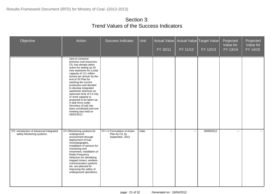| Objective                                                              | Action                                                                                                                                                                                                                                                                                                                                                                                                                                                                                                       | Success Indicator                                                   | <b>Unit</b> | FY 10/11     | Actual Value   Actual Value   Target Value  <br>FY 11/12 | FY 12/13   | Projected<br>Value for<br>FY 13/14 | Projected<br>Value for<br>FY 14/15 |
|------------------------------------------------------------------------|--------------------------------------------------------------------------------------------------------------------------------------------------------------------------------------------------------------------------------------------------------------------------------------------------------------------------------------------------------------------------------------------------------------------------------------------------------------------------------------------------------------|---------------------------------------------------------------------|-------------|--------------|----------------------------------------------------------|------------|------------------------------------|------------------------------------|
|                                                                        | view to conserve<br>precious coal resources.<br>CIL has already taken<br>action for setting up 20<br>new washeries for a total<br>capacity of 111 million<br>tonnes per annum by the<br>end of XII Plan for<br>washing the current<br>production and decided<br>to develop integrated<br>washeries wherever an<br>opencast mine of 2.5 mty<br>or more capacity is<br>proposed to be taken up.<br>A task force under<br>Secretary (Coal) has<br>been constituted and one<br>meeting was held on<br>28/02/2012 |                                                                     |             |              |                                                          |            |                                    |                                    |
| [15] Introduction of Advanced Integrated<br>safety Monitoring systems. | [15.1]Monitoring systems for<br>underground<br>environment through<br>deployment of Gas<br>chromatographs,<br>installation of sensors for<br>monitoring roof<br>movement, installation of<br>Radio Frequency<br>Detectors for identifying<br>trapped miners, wireless<br>communication systems<br>etc. are planned for<br>improving the safety of<br>underground operations.                                                                                                                                 | [15.1.1] Formulation of Action<br>Plan by CIL by<br>September, 2012 | Date        | $\mathbf{u}$ | $\sim$                                                   | 30/09/2012 | $\sim$                             | $\sim$                             |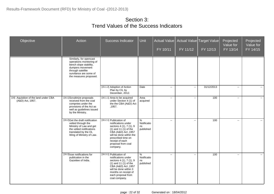| Objective                                                 | Action                                                                                                                                                                     | <b>Success Indicator</b>                                                                                                                                                                                                             | <b>Unit</b>                         | <b>Actual Value</b><br>FY 10/11 | FY 11/12     | Actual Value Target Value<br>FY 12/13 | Projected<br>Value for<br>FY 13/14 | Projected<br>Value for<br>FY 14/15 |
|-----------------------------------------------------------|----------------------------------------------------------------------------------------------------------------------------------------------------------------------------|--------------------------------------------------------------------------------------------------------------------------------------------------------------------------------------------------------------------------------------|-------------------------------------|---------------------------------|--------------|---------------------------------------|------------------------------------|------------------------------------|
|                                                           | Similarly, for opencast<br>operations monitoring of<br>bench slope stability,<br>dumpers movement<br>through satellite<br>survilance are some of<br>the measures proposed. |                                                                                                                                                                                                                                      |                                     |                                 |              |                                       |                                    |                                    |
|                                                           |                                                                                                                                                                            | [15.1.2] Adoption of Action<br>Plan by CIL by<br>December, 2012.                                                                                                                                                                     | Date                                | 44                              | $\sim$       | 31/12/2013                            | $\sim$                             | $\sim$ $-$                         |
| [16] Aquisition of the land under CBA<br>(A&D) Act, 1957. | [16.1]Scruitinize proposals<br>received from the coal<br>compnies under the<br>provisions of the Act as<br>well as guidelines issued<br>by the Ministry.                   | [16.1.1] Area to be acquired<br>under Section 4 (1) of<br>the the CBA (A&D) Act<br>,1957.                                                                                                                                            | Area<br>acquired                    | $\sim$                          | $\sim$       | 100                                   | $\sim$                             | $\sim$                             |
|                                                           | [16.2]Get the draft notification<br>vetted through the<br>Ministry of Law and get<br>the vetted notifications<br>translated by the OL<br>Wing of Ministry of Law.          | [16.2.1] Publication of<br>notifications under<br>sectons 4 (1), 7 (1), 9<br>$(1)$ and 11 $(1)$ of the<br>CBA (A&D) Act , 1957<br>will be done within the<br>prescribed time on<br>receipt of each<br>proposal from coal<br>company. | %<br>Notificatio<br>ns<br>published | $\sim$                          | $\mathbf{L}$ | 100                                   | $\mathbb{L}^2$                     | $\sim$                             |
|                                                           | [16.3] Isse notifications for<br>publication in the<br>Gazettee of India.                                                                                                  | [16.3.1] Publication of<br>notifications under<br>sectons 4 (1), 7 (1), 9<br>$(1)$ and $11(1)$ of the<br>CBA (A&D) Act, 1957<br>will be done within 3<br>months on receipt of<br>each proposal from<br>coal company.                 | %<br>Notificatio<br>ns<br>published | $\mathbf{L}$                    | $\sim$       | 100                                   | $\sim$                             |                                    |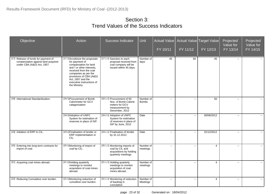| Objective                                                                                                | Action                                                                                                                                                                                                                                                  | <b>Success Indicator</b>                                                                                 | Unit                      | <b>Actual Value</b><br>FY 10/11 | FY 11/12      | <b>Actual Value Target Value</b><br>FY 12/13 | Projected<br>Value for<br>FY 13/14 | Projected<br>Value for<br>FY 14/15 |
|----------------------------------------------------------------------------------------------------------|---------------------------------------------------------------------------------------------------------------------------------------------------------------------------------------------------------------------------------------------------------|----------------------------------------------------------------------------------------------------------|---------------------------|---------------------------------|---------------|----------------------------------------------|------------------------------------|------------------------------------|
| [17] Release of funds for payment of<br>compensation against land acquired<br>under CBA (A&D) Act, 1957. | [17.1]Scruitinize the proposals<br>for payment of<br>compansation for land<br>and / or other interests,<br>received from the coal<br>companies as per the<br>provisions of CBA (A&D)<br>Act, 1957 and the<br>executive instructions of<br>the Ministry. | [17.1.1] Sanction to each<br>proposal received from<br>coal company will be<br>issued within 45 days.    | Number of<br>days         | 45                              | 60            | 45                                           | $\overline{\phantom{a}}$           |                                    |
| [18] International Standardization.                                                                      | [18.1] Procurement of Bomb<br>Calorimeter for GCV<br>catagorisation                                                                                                                                                                                     | [18.1.1] Procurement of 50<br>Nos. of Bomb Calorie<br>meters for GCV<br>measurement by<br>December, 2012 | Number of<br><b>Bombs</b> | $\sim$                          | $\sim$        | 50                                           | $\sim$                             | $\sim$                             |
|                                                                                                          | [18.2] Adoption of UNFC<br>System for estimation of<br>reserves in place of ISP.                                                                                                                                                                        | [18.2.1] Adoption of UNFC<br>System for estimation<br>of reserves in place of<br>ISP by June, 2012       | Date                      | $\overline{\phantom{a}}$        | $\sim$        | 30/06/2012                                   | $\overline{\phantom{a}}$           | $\sim$                             |
| [19] Initiation of ERP in CIL.                                                                           | [19.1] Finalisation of tender or<br>ERP implementation in<br>CIL.                                                                                                                                                                                       | [19.1.1] Finalisation of tender<br>by 31.12.2012.                                                        | Date                      | $\overline{\phantom{a}}$        | Ξ.            | 31/12/2012                                   | $\overline{\phantom{a}}$           | $\sim$                             |
| [20] Entering into long term contracts for<br>import of coal.                                            | [20.1] Monitoring of import of<br>coal by CIL.                                                                                                                                                                                                          | [20.1.1] Monitoring imports of<br>coal by CIL and<br>acquisitions by holding<br>quarterly meetings       | Number of<br>meetings     | $\sim$                          | Ξ.            | 4                                            | $\overline{a}$                     | $\mathbf{u}$                       |
| [21] Acquiring coal mines abroad.                                                                        | [21.1] Holding quarterly<br>meetings to monitor<br>acquisition of coal mines<br>abroad.                                                                                                                                                                 | [21.1.1] Holding quarterly<br>meetings to monitor<br>acquisition of coal<br>mines abroad                 | Number of<br>meetings     | $\mathbf{u}$                    | $\sim$ $\sim$ | 4                                            | $\mathbf{u}$                       | $\sim$                             |
| [22] Reducing Cumulative over burden.                                                                    | [22.1] Monitoring reduction of<br>cumulitive over burdon.                                                                                                                                                                                               | [22.1.1] Monitoring of reduction<br>of backlog in<br>cumulative                                          | Number of<br>Meetings     | $\sim$                          | $\sim$        | 4                                            | $\overline{a}$                     | $\sim$                             |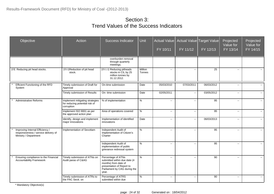| Objective                                                                                        | Action                                                                          | Success Indicator                                                                                                                                | <b>Unit</b>       | <b>Actual Value</b><br>FY 10/11 | FY 11/12                                      | Actual Value Target Value<br>FY 12/13 | Projected<br>Value for<br>FY 13/14 | Projected<br>Value for<br>FY 14/15 |
|--------------------------------------------------------------------------------------------------|---------------------------------------------------------------------------------|--------------------------------------------------------------------------------------------------------------------------------------------------|-------------------|---------------------------------|-----------------------------------------------|---------------------------------------|------------------------------------|------------------------------------|
|                                                                                                  |                                                                                 | overburden removal<br>through quarterly<br>meetings.                                                                                             |                   |                                 |                                               |                                       |                                    |                                    |
| [23] Reducing pit head stocks.                                                                   | [23.1] Reduction of pit head<br>stock.                                          | [23.1.1] Reducing pitheads<br>stocks in CIL by 25<br>million tonnes by<br>31.12.2012.                                                            | Million<br>Tonnes | $\sim$                          | $\mathord{\hspace{1pt}\text{--}\hspace{1pt}}$ | 25                                    | $\sim$                             | $\sim$                             |
| Efficient Functioning of the RFD<br>System                                                       | Timely submission of Draft for<br>Approval                                      | On-time submission                                                                                                                               | Date              | 05/03/2010                      | 07/03/2011                                    | 06/03/2012                            | $\overline{\phantom{a}}$           | $\sim$                             |
|                                                                                                  | Timely submission of Results                                                    | On- time submission                                                                                                                              | Date              | 02/05/2011                      | $\sim$                                        | 03/05/2012                            | $\overline{\phantom{a}}$           | $\sim$                             |
| <b>Administrative Reforms</b>                                                                    | Implement mitigating strategies<br>for reducing potential risk of<br>corruption | % of implementation                                                                                                                              | $\%$              | $\sim$                          | $\overline{\phantom{a}}$                      | 95                                    | --                                 | $\mathcal{L}(\mathcal{L})$         |
|                                                                                                  | Implement ISO 9001 as per<br>the approved action plan                           | Area of operations covered                                                                                                                       | $\%$              | $\sim$                          | $\sim$                                        | 95                                    | $\mathbf{u}$                       | $\mathbb{L}^2$                     |
|                                                                                                  | Identify, design and implement<br>major innovations                             | Implementation of identified<br>innovations                                                                                                      | Date              | $\sim$                          | $\sim$                                        | 06/03/2013                            | $\overline{a}$                     | $\mathbf{u}$                       |
| Improving Internal Efficiency /<br>responsiveness / service delivery of<br>Ministry / Department | Implementation of Sevottam                                                      | Independent Audit of<br>Implementation of Citizen's<br>Charter                                                                                   | $\%$              | $\overline{a}$                  | $\sim$                                        | 95                                    | $\sim$                             | $\sim$                             |
|                                                                                                  |                                                                                 | Independent Audit of<br>implementation of public<br>grievance redressal system                                                                   | $\%$              | $\sim$                          | $\overline{\phantom{a}}$                      | 95                                    | --                                 | $\sim$                             |
| Ensuring compliance to the Financial<br><b>Accountability Framework</b>                          | Timely submission of ATNs on<br>Audit paras of C&AG                             | Percentage of ATNs<br>submitted within due date (4<br>months) from date of<br>presentation of Report to<br>Parliament by CAG during the<br>year. | $\%$              | $\overline{\phantom{a}}$        | $\overline{\phantom{a}}$                      | 90                                    | $\overline{\phantom{a}}$           | $\sim$                             |
|                                                                                                  | Timely submission of ATRs to<br>the PAC Sectt. on                               | Percentage of ATRS<br>submitted within due                                                                                                       | $\%$              | $\overline{\phantom{a}}$        | $\overline{\phantom{a}}$                      | 90                                    | --                                 | $\sim$                             |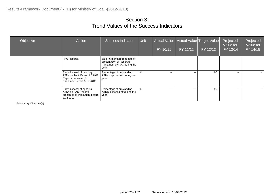| Objective | Action                                                                                                           | <b>Success Indicator</b>                                                                           | <b>Unit</b> | FY 10/11      | Actual Value   Actual Value   Target Value  <br>FY 11/12 | FY 12/13 | Projected<br>Value for<br>FY 13/14 | Projected<br>Value for<br>FY 14/15 |
|-----------|------------------------------------------------------------------------------------------------------------------|----------------------------------------------------------------------------------------------------|-------------|---------------|----------------------------------------------------------|----------|------------------------------------|------------------------------------|
|           | PAC Reports.                                                                                                     | date (6 months) from date of<br>presentation of Report to<br>Parliament by PAC during the<br>year. |             |               |                                                          |          |                                    |                                    |
|           | Early disposal of pending<br>ATNs on Audit Paras of C&AG<br>Reports presented to<br>Parliament before 31.3.2012. | Percentage of outstanding<br>ATNs disposed off during the<br>year.                                 | $\%$        | $\sim$ $\sim$ | $\sim$ $\sim$                                            | 90       | $\sim$                             | $\sim$ $\sim$                      |
|           | Early disposal of pending<br>ATRs on PAC Reports<br>presented to Parliament before<br>31.3.2012                  | Percentage of outstanding<br>ATRS disposed off during the<br>year.                                 | $\%$        | $\sim$ $\sim$ | $\sim$ $\sim$                                            | 90       | $\sim$                             | $\sim$ $\sim$                      |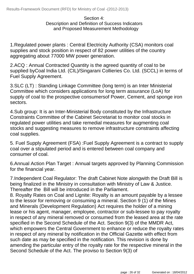#### Section 4: Description and Definition of Success Indicators and Proposed Measurement Methodology

1.Regulated power plants : Central Electricity Authority (CSA) monitors coal supplies and stock position in respect of 82 power utilities of the country aggregating about 77000 MW power generation.

2.ACQ : Annual Contracted Quantity is the agreed quantity of coal to be supplied byCoal India Ltd. (CIL)/Singarani Collieries Co. Ltd. (SCCL) in terms of Fuel Supply Agreement.

3.SLC (LT) : Standing Linkage Committee (long term) is an Inter Ministerial Committee which considers applications for long term assurance (LoA) for supply of coal to the prospective consumersof Power, Cement, and sponge iron sectors.

4.Sub group: It is an Inter-Ministerial Body constituted by the Infrastructure Constraints Committee of the Cabinet Secretariat to monitor coal stocks in regulated power utilities and take remedial measures for augmenting coal stocks and suggesting measures to remove infrastructure constraints affecting coal supplies.

5. Fuel Supply Agreement (FSA) :Fuel Supply Agreement is a contract to supply coal over a stipulated period and is entered between coal company and consumer of coal.

6.Annual Action Plan Target : Annual targets approved by Planning Commission for the financial year.

7.Independent Coal Regulator: The draft Cabinet Note alongwith the Draft Bill is being finalized in the Ministry in consultation with Ministry of Law & Justice. Thereafter the Bill will be introduced in the Parliament.

8. Royalty Rates on Coal and Lignite: Royalty is an amount payable by a lessee to the lessor for removing or consuming a mineral. Section 9 (1) of the Mines and Minerals (Development Regulation) Act requires the holder of a mining lease or his agent, manager, employee, contractor or sub-lessee to pay royalty in respect of any mineral removed or consumed from the leased area at the rate specified in the Second Schedule of the Act. Section 9(3) of the MMDR Act, which empowers the Central Government to enhance or reduce the royalty rates in respect of any mineral by notification in the Official Gazette with effect from such date as may be specified in the notification. This revision is done by amending the particular entry of the royalty rate for the respective mineral in the Second Schedule of the Act. The proviso to Section 9(3) of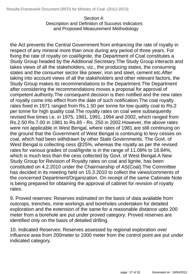Section 4: Description and Definition of Success Indicators and Proposed Measurement Methodology

the Act prevents the Central Government from enhancing the rate of royalty in respect of any mineral more than once during any period of three years. For fixing the rate of royalty on coal/lignite, the Department of Coal constitutes a Study Group headed by the Additional Secretary.The Study Group interacts and takes views of all the stakeholders, viz., the producing states, the consuming states and the consumer sector like power, iron and steel, cement etc.After taking into account views of all the stakeholders and other relevant factors, the Study Group makes its recommendations to the Department.The Department after considering the recommendations moves a proposal for approval of competent authority.The consequent decision is then notified and the new rates of royalty come into effect from the date of such notification.The coal royalty rates fixed in 1971 ranged from Rs.1.50 per tonne for low quality coal to Rs.2 per tonne for high quality coal.The royalty rates on coal were subsequently revised five times i.e. in 1975, 1981, 1991, 1994 and 2002, which ranged from Rs.2.50 Rs.7.00 in 1981 to Rs.65 - Rs. 250 in 2002.However, the above rates were not applicable in West Bengal, where rates of 1981 are still continuing on the ground that the Government of West Bengal is continuing to levy cesses on coal, which had been withdrawn by other State Governments. The Govt. of West Bengal is collecting cess @25%, whereas the royalty as per the revised rates for various grades of coal/lignite is in the range of 11.08% to 18.84%, which is much less than the cess collected by Govt. of West Bengal.A New Study Group for Revision of Royalty rates on coal and lignite, has been constituted on 4.2.2010 under the Chairmanship of AS(Coal).The Committee has decided in its meeting held on 15.3.2010 to collect the views/comments of the concerned Department/Organization. On receipt of the same Cabinate Note is being prepared for obtaining the approval of cabinet for revision of royalty rates.

9. Proved reserves: Reserves estimated on the basis of data available from outcrops, trenches, mine workings and boreholes undertaken for detailed exploration and the extension of the same for a reasonable distance upto 200 meter from a borehole are put under proved category. Proved reserves are identified only on the basis of detailed drilling.

10. Indicated Reserves: Reserves assessed by regional exploration over influence area from 200meter to 1000 meter from the control point are put under indicated category.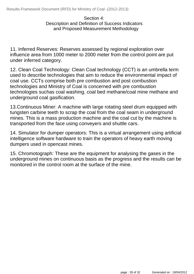#### Section 4: Description and Definition of Success Indicators and Proposed Measurement Methodology

11. Inferred Reserves: Reserves assessed by regional exploration over influence area from 1000 meter to 2000 meter from the control point are put under inferred category.

12. Clean Coal Technology: Clean Coal technology (CCT) is an umbrella term used to describe technologies that aim to reduce the environmental impact of coal use. CCTs comprise both pre combustion and post combustion technologies and Ministry of Coal is concerned with pre combustion technologies suchas coal washing, coal bed methane/coal mine methane and underground coal gasification.

13.Continuous Miner: A machine with large rotating steel drum equipped with tungsten carbine teeth to scrap the coal from the coal seam in underground mines. This is a mass production machine and the coal cut by the machine is transported from the face using conveyers and shuttle cars.

14. Simulator for dumper operators: This is a virtual arrangement using artificial intelligence software hardware to train the operators of heavy earth moving dumpers used in opencast mines.

15. Chromotograph: These are the equipment for analysing the gases in the underground mines on continuous basis as the progress and the results can be monitored in the control room at the surface of the mine.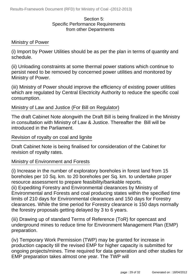#### Section 5: Specific Performance Requirements from other Departments

#### Ministry of Power

(i) Import by Power Utilities should be as per the plan in terms of quantity and schedule.

(ii) Unloading constraints at some thermal power stations which continue to persist need to be removed by concerned power utilities and monitored by Ministry of Power.

(iii) Ministry of Power should improve the efficiency of existing power utilities which are regulated by Central Electricity Authority to reduce the specific coal consumption.

#### Ministry of Law and Justice (For Bill on Regulator)

The draft Cabinet Note alongwith the Draft Bill is being finalized in the Ministry in consultation with Ministry of Law & Justice. Thereafter the Bill will be introduced in the Parliament.

#### Revision of royalty on coal and lignite

Draft Cabinet Note is being finalised for consideration of the Cabinet for revision of royalty rates.

#### Ministry of Environment and Forests

(i) Increase in the number of exploratory boreholes in forest land from 15 boreholes per 10 Sq. km. to 20 boreholes per Sq. km. to undertake proper resource assessment to prepare feasibility/bankable reports. (ii) Expediting Forestry and Environmental clearances by Ministry of Environmental and Forests and coal producing states within the specified time limits of 210 days for Environmental clearances and 150 days for Forestry clearances. While the time period for Forestry clearance is 150 days normally the forestry proposals getting delayed by 3 to 6 years.

(iii) Drawing up of standard Terms of Reference (ToR) for opencast and underground mines to reduce time for Environment Management Plan (EMP) preparation.

(iv) Temporary Work Permission (TWP) may be granted for increase in production capacity till the revised EMP for higher capacity is submitted for ongoing projects/mines. Time required for data generation and other studies for EMP preparation takes almost one year. The TWP will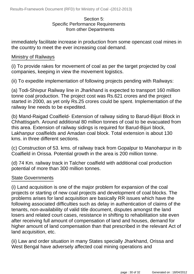#### Section 5: Specific Performance Requirements from other Departments

immediately facilitate increase in production from some opencast coal mines in the country to meet the ever increasing coal demand.

#### Ministry of Railways

(i) To provide rakes for movement of coal as per the target projected by coal companies, keeping in view the movement logistics.

(ii) To expedite implementation of following projects pending with Railways:

(a) Todi-Shivpur Railway line in Jharkhand is expected to transport 160 million tonne coal production. The project cost was Rs.621 crores and the project started in 2000, as yet only Rs.25 crores could be spent. Implementation of the railway line needs to be expedited.

(b) Mand-Raigad Coalfield- Extension of railway siding to Barud-Bijuri Block in Chhattisgarh. Around additional 80 million tonnes of coal to be evacuated from this area. Extension of railway sidings is required for Barud-Bijuri block, Lakhanpur coalfields and Amadan coal block. Total extension is about 130 kms. in three different sections.

(c) Construction of 53. kms. of railway track from Gopalpur to Manoharpur in Ib Coalfield in Orissa. Potential growth in the area is 200 million tonne.

(d) 74 Km. railway track in Talcher coalfield with additional coal production potential of more than 300 million tonnes.

#### State Governments

(i) Land acquisition is one of the major problem for expansion of the coal projects or starting of new coal projects and development of coal blocks. The problems arises for land acquisition are basically RR issues which have the following associated difficulties such as delay in authentication of claims of the tenants, non-availability of valid title document, disputes amongst the land losers and related court cases, resistance in shifting to rehabilitation site even after receiving full amount of compensation of land and houses, demand for higher amount of land compensation than that prescribed in the relevant Act of land acquisition, etc.

(ii) Law and order situation in many States specially Jharkhand, Orissa and West Bengal have adversely affected coal mining operations and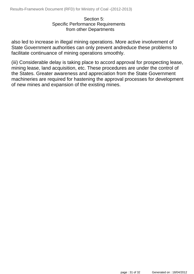#### Section 5: Specific Performance Requirements from other Departments

also led to increase in illegal mining operations. More active involvement of State Government authorities can only prevent andreduce these problems to facilitate continuance of mining operations smoothly.

(iii) Considerable delay is taking place to accord approval for prospecting lease, mining lease, land acquisition, etc. These procedures are under the control of the States. Greater awareness and appreciation from the State Government machineries are required for hastening the approval processes for development of new mines and expansion of the existing mines.